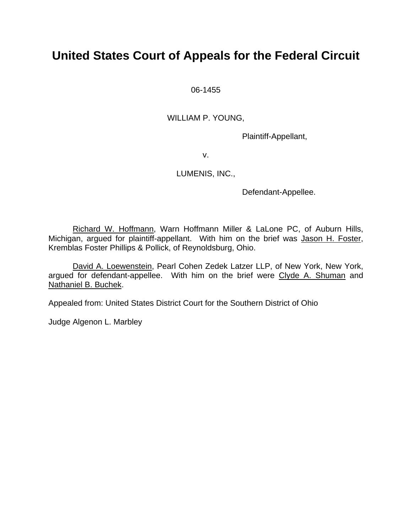# **United States Court of Appeals for the Federal Circuit**

06-1455

WILLIAM P. YOUNG,

Plaintiff-Appellant,

v.

### LUMENIS, INC.,

Defendant-Appellee.

Richard W. Hoffmann, Warn Hoffmann Miller & LaLone PC, of Auburn Hills, Michigan, argued for plaintiff-appellant. With him on the brief was Jason H. Foster, Kremblas Foster Phillips & Pollick, of Reynoldsburg, Ohio.

David A. Loewenstein, Pearl Cohen Zedek Latzer LLP, of New York, New York, argued for defendant-appellee. With him on the brief were Clyde A. Shuman and Nathaniel B. Buchek.

Appealed from: United States District Court for the Southern District of Ohio

Judge Algenon L. Marbley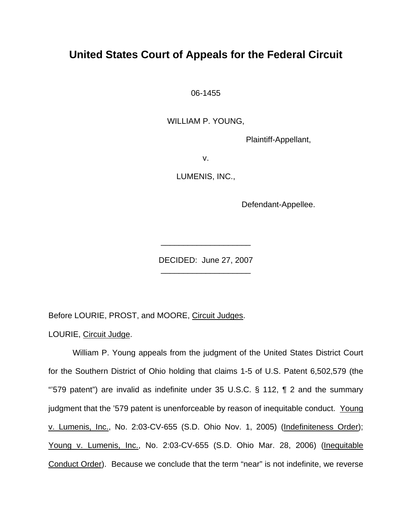# **United States Court of Appeals for the Federal Circuit**

06-1455

WILLIAM P. YOUNG,

Plaintiff-Appellant,

v.

LUMENIS, INC.,

Defendant-Appellee.

DECIDED: June 27, 2007 \_\_\_\_\_\_\_\_\_\_\_\_\_\_\_\_\_\_\_\_

\_\_\_\_\_\_\_\_\_\_\_\_\_\_\_\_\_\_\_\_

Before LOURIE, PROST, and MOORE, Circuit Judges.

LOURIE, Circuit Judge.

William P. Young appeals from the judgment of the United States District Court for the Southern District of Ohio holding that claims 1-5 of U.S. Patent 6,502,579 (the "579 patent") are invalid as indefinite under 35 U.S.C. § 112,  $\P$  2 and the summary judgment that the '579 patent is unenforceable by reason of inequitable conduct. Young v. Lumenis, Inc., No. 2:03-CV-655 (S.D. Ohio Nov. 1, 2005) (Indefiniteness Order); Young v. Lumenis, Inc., No. 2:03-CV-655 (S.D. Ohio Mar. 28, 2006) (Inequitable Conduct Order). Because we conclude that the term "near" is not indefinite, we reverse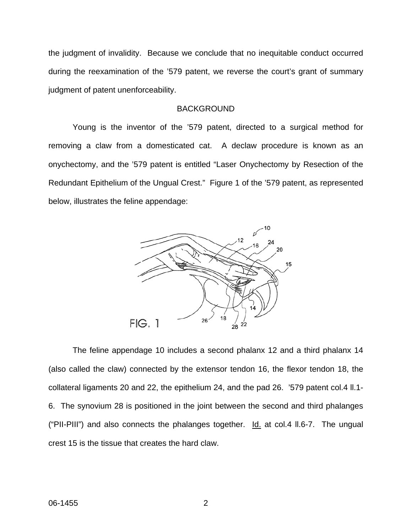the judgment of invalidity. Because we conclude that no inequitable conduct occurred during the reexamination of the '579 patent, we reverse the court's grant of summary judgment of patent unenforceability.

#### BACKGROUND

 Young is the inventor of the '579 patent, directed to a surgical method for removing a claw from a domesticated cat. A declaw procedure is known as an onychectomy, and the '579 patent is entitled "Laser Onychectomy by Resection of the Redundant Epithelium of the Ungual Crest." Figure 1 of the '579 patent, as represented below, illustrates the feline appendage:



 The feline appendage 10 includes a second phalanx 12 and a third phalanx 14 (also called the claw) connected by the extensor tendon 16, the flexor tendon 18, the collateral ligaments 20 and 22, the epithelium 24, and the pad 26. '579 patent col.4 ll.1- 6. The synovium 28 is positioned in the joint between the second and third phalanges ("PII-PIII") and also connects the phalanges together. Id. at col.4 ll.6-7. The ungual crest 15 is the tissue that creates the hard claw.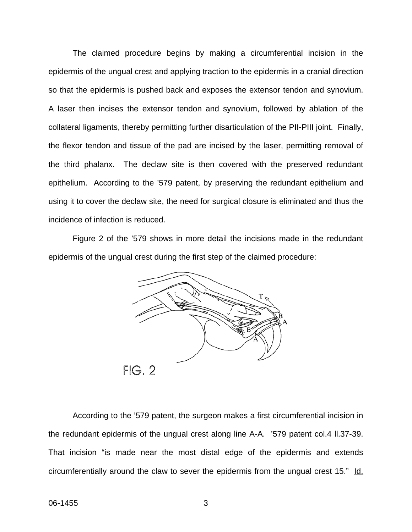The claimed procedure begins by making a circumferential incision in the epidermis of the ungual crest and applying traction to the epidermis in a cranial direction so that the epidermis is pushed back and exposes the extensor tendon and synovium. A laser then incises the extensor tendon and synovium, followed by ablation of the collateral ligaments, thereby permitting further disarticulation of the PII-PIII joint. Finally, the flexor tendon and tissue of the pad are incised by the laser, permitting removal of the third phalanx. The declaw site is then covered with the preserved redundant epithelium. According to the '579 patent, by preserving the redundant epithelium and using it to cover the declaw site, the need for surgical closure is eliminated and thus the incidence of infection is reduced.

Figure 2 of the '579 shows in more detail the incisions made in the redundant epidermis of the ungual crest during the first step of the claimed procedure:



According to the '579 patent, the surgeon makes a first circumferential incision in the redundant epidermis of the ungual crest along line A-A. '579 patent col.4 ll.37-39. That incision "is made near the most distal edge of the epidermis and extends circumferentially around the claw to sever the epidermis from the ungual crest 15." Id.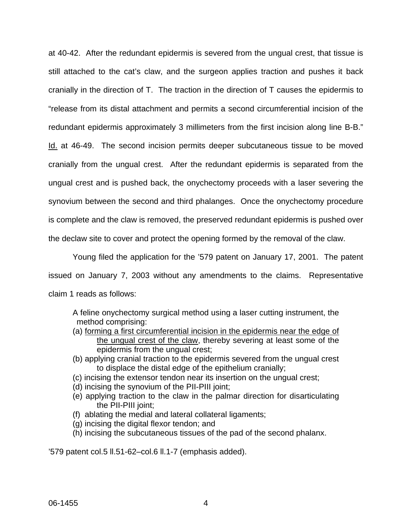at 40-42. After the redundant epidermis is severed from the ungual crest, that tissue is still attached to the cat's claw, and the surgeon applies traction and pushes it back cranially in the direction of T. The traction in the direction of T causes the epidermis to "release from its distal attachment and permits a second circumferential incision of the redundant epidermis approximately 3 millimeters from the first incision along line B-B." Id. at 46-49. The second incision permits deeper subcutaneous tissue to be moved cranially from the ungual crest. After the redundant epidermis is separated from the ungual crest and is pushed back, the onychectomy proceeds with a laser severing the synovium between the second and third phalanges. Once the onychectomy procedure is complete and the claw is removed, the preserved redundant epidermis is pushed over the declaw site to cover and protect the opening formed by the removal of the claw.

Young filed the application for the '579 patent on January 17, 2001. The patent issued on January 7, 2003 without any amendments to the claims. Representative claim 1 reads as follows:

- A feline onychectomy surgical method using a laser cutting instrument, the method comprising:
- (a) forming a first circumferential incision in the epidermis near the edge of the ungual crest of the claw, thereby severing at least some of the epidermis from the ungual crest;
- (b) applying cranial traction to the epidermis severed from the ungual crest to displace the distal edge of the epithelium cranially;
- (c) incising the extensor tendon near its insertion on the ungual crest;
- (d) incising the synovium of the PII-PIII joint;
- (e) applying traction to the claw in the palmar direction for disarticulating the PII-PIII joint;
- (f) ablating the medial and lateral collateral ligaments;
- (g) incising the digital flexor tendon; and
- (h) incising the subcutaneous tissues of the pad of the second phalanx.

'579 patent col.5 ll.51-62–col.6 ll.1-7 (emphasis added).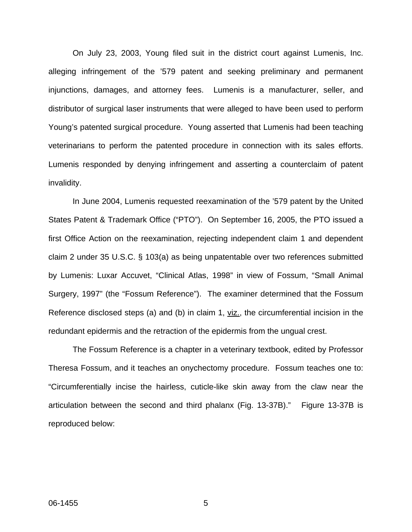On July 23, 2003, Young filed suit in the district court against Lumenis, Inc. alleging infringement of the '579 patent and seeking preliminary and permanent injunctions, damages, and attorney fees. Lumenis is a manufacturer, seller, and distributor of surgical laser instruments that were alleged to have been used to perform Young's patented surgical procedure. Young asserted that Lumenis had been teaching veterinarians to perform the patented procedure in connection with its sales efforts. Lumenis responded by denying infringement and asserting a counterclaim of patent invalidity.

In June 2004, Lumenis requested reexamination of the '579 patent by the United States Patent & Trademark Office ("PTO"). On September 16, 2005, the PTO issued a first Office Action on the reexamination, rejecting independent claim 1 and dependent claim 2 under 35 U.S.C. § 103(a) as being unpatentable over two references submitted by Lumenis: Luxar Accuvet, "Clinical Atlas, 1998" in view of Fossum, "Small Animal Surgery, 1997" (the "Fossum Reference"). The examiner determined that the Fossum Reference disclosed steps (a) and (b) in claim 1, viz., the circumferential incision in the redundant epidermis and the retraction of the epidermis from the ungual crest.

The Fossum Reference is a chapter in a veterinary textbook, edited by Professor Theresa Fossum, and it teaches an onychectomy procedure. Fossum teaches one to: "Circumferentially incise the hairless, cuticle-like skin away from the claw near the articulation between the second and third phalanx (Fig. 13-37B)." Figure 13-37B is reproduced below: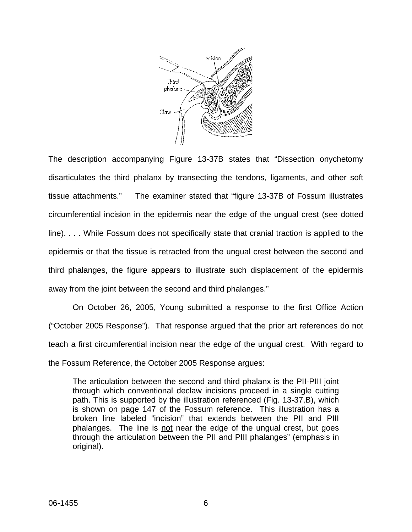

The description accompanying Figure 13-37B states that "Dissection onychetomy disarticulates the third phalanx by transecting the tendons, ligaments, and other soft tissue attachments." The examiner stated that "figure 13-37B of Fossum illustrates circumferential incision in the epidermis near the edge of the ungual crest (see dotted line). . . . While Fossum does not specifically state that cranial traction is applied to the epidermis or that the tissue is retracted from the ungual crest between the second and third phalanges, the figure appears to illustrate such displacement of the epidermis away from the joint between the second and third phalanges."

On October 26, 2005, Young submitted a response to the first Office Action ("October 2005 Response"). That response argued that the prior art references do not teach a first circumferential incision near the edge of the ungual crest. With regard to the Fossum Reference, the October 2005 Response argues:

The articulation between the second and third phalanx is the PII-PIII joint through which conventional declaw incisions proceed in a single cutting path. This is supported by the illustration referenced (Fig. 13-37,B), which is shown on page 147 of the Fossum reference. This illustration has a broken line labeled "incision" that extends between the PII and PIII phalanges. The line is not near the edge of the ungual crest, but goes through the articulation between the PII and PIII phalanges" (emphasis in original).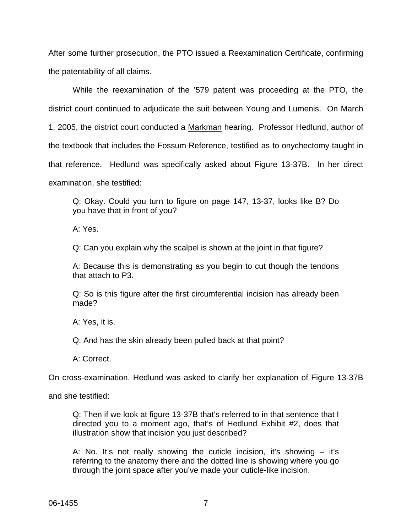After some further prosecution, the PTO issued a Reexamination Certificate, confirming the patentability of all claims.

While the reexamination of the '579 patent was proceeding at the PTO, the district court continued to adjudicate the suit between Young and Lumenis. On March 1, 2005, the district court conducted a Markman hearing. Professor Hedlund, author of the textbook that includes the Fossum Reference, testified as to onychectomy taught in that reference. Hedlund was specifically asked about Figure 13-37B. In her direct examination, she testified:

Q: Okay. Could you turn to figure on page 147, 13-37, looks like B? Do you have that in front of you?

A: Yes.

Q: Can you explain why the scalpel is shown at the joint in that figure?

A: Because this is demonstrating as you begin to cut though the tendons that attach to P3.

Q: So is this figure after the first circumferential incision has already been made?

A: Yes, it is.

Q: And has the skin already been pulled back at that point?

A: Correct.

On cross-examination, Hedlund was asked to clarify her explanation of Figure 13-37B

and she testified:

 Q: Then if we look at figure 13-37B that's referred to in that sentence that I directed you to a moment ago, that's of Hedlund Exhibit #2, does that illustration show that incision you just described?

 A: No. It's not really showing the cuticle incision, it's showing – it's referring to the anatomy there and the dotted line is showing where you go through the joint space after you've made your cuticle-like incision.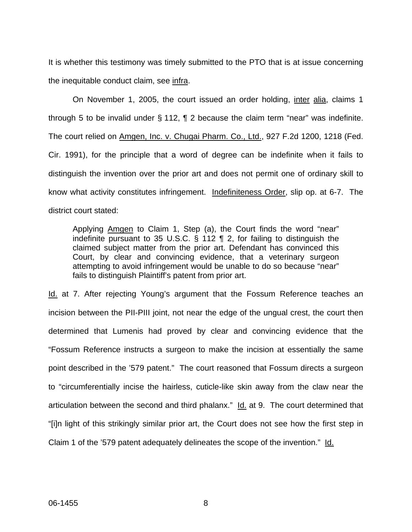It is whether this testimony was timely submitted to the PTO that is at issue concerning the inequitable conduct claim, see infra.

On November 1, 2005, the court issued an order holding, inter alia, claims 1 through 5 to be invalid under  $\S 112$ ,  $\P 2$  because the claim term "near" was indefinite. The court relied on Amgen, Inc. v. Chugai Pharm. Co., Ltd., 927 F.2d 1200, 1218 (Fed. Cir. 1991), for the principle that a word of degree can be indefinite when it fails to distinguish the invention over the prior art and does not permit one of ordinary skill to know what activity constitutes infringement. Indefiniteness Order, slip op. at 6-7. The district court stated:

Applying Amgen to Claim 1, Step (a), the Court finds the word "near" indefinite pursuant to 35 U.S.C.  $\frac{6}{5}$  112  $\frac{6}{5}$  2, for failing to distinguish the claimed subject matter from the prior art. Defendant has convinced this Court, by clear and convincing evidence, that a veterinary surgeon attempting to avoid infringement would be unable to do so because "near" fails to distinguish Plaintiff's patent from prior art.

Id. at 7. After rejecting Young's argument that the Fossum Reference teaches an incision between the PII-PIII joint, not near the edge of the ungual crest, the court then determined that Lumenis had proved by clear and convincing evidence that the "Fossum Reference instructs a surgeon to make the incision at essentially the same point described in the '579 patent." The court reasoned that Fossum directs a surgeon to "circumferentially incise the hairless, cuticle-like skin away from the claw near the articulation between the second and third phalanx." Id. at 9. The court determined that "[i]n light of this strikingly similar prior art, the Court does not see how the first step in Claim 1 of the '579 patent adequately delineates the scope of the invention." Id.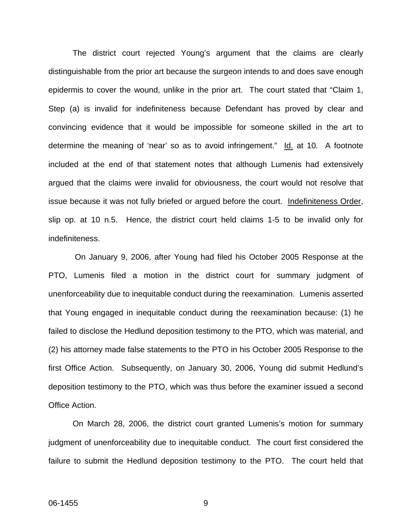The district court rejected Young's argument that the claims are clearly distinguishable from the prior art because the surgeon intends to and does save enough epidermis to cover the wound, unlike in the prior art. The court stated that "Claim 1, Step (a) is invalid for indefiniteness because Defendant has proved by clear and convincing evidence that it would be impossible for someone skilled in the art to determine the meaning of 'near' so as to avoid infringement." Id. at 10. A footnote included at the end of that statement notes that although Lumenis had extensively argued that the claims were invalid for obviousness, the court would not resolve that issue because it was not fully briefed or argued before the court. Indefiniteness Order, slip op. at 10 n.5. Hence, the district court held claims 1-5 to be invalid only for indefiniteness.

 On January 9, 2006, after Young had filed his October 2005 Response at the PTO, Lumenis filed a motion in the district court for summary judgment of unenforceability due to inequitable conduct during the reexamination. Lumenis asserted that Young engaged in inequitable conduct during the reexamination because: (1) he failed to disclose the Hedlund deposition testimony to the PTO, which was material, and (2) his attorney made false statements to the PTO in his October 2005 Response to the first Office Action. Subsequently, on January 30, 2006, Young did submit Hedlund's deposition testimony to the PTO, which was thus before the examiner issued a second Office Action.

On March 28, 2006, the district court granted Lumenis's motion for summary judgment of unenforceability due to inequitable conduct. The court first considered the failure to submit the Hedlund deposition testimony to the PTO. The court held that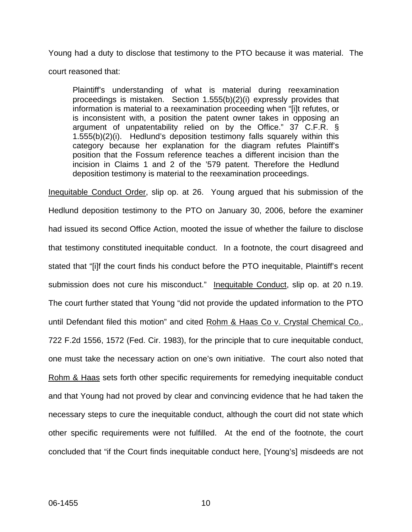Young had a duty to disclose that testimony to the PTO because it was material. The court reasoned that:

Plaintiff's understanding of what is material during reexamination proceedings is mistaken. Section 1.555(b)(2)(i) expressly provides that information is material to a reexamination proceeding when "[i]t refutes, or is inconsistent with, a position the patent owner takes in opposing an argument of unpatentability relied on by the Office." 37 C.F.R. § 1.555(b)(2)(i). Hedlund's deposition testimony falls squarely within this category because her explanation for the diagram refutes Plaintiff's position that the Fossum reference teaches a different incision than the incision in Claims 1 and 2 of the '579 patent. Therefore the Hedlund deposition testimony is material to the reexamination proceedings.

Inequitable Conduct Order, slip op. at 26. Young argued that his submission of the Hedlund deposition testimony to the PTO on January 30, 2006, before the examiner had issued its second Office Action, mooted the issue of whether the failure to disclose that testimony constituted inequitable conduct. In a footnote, the court disagreed and stated that "[i]f the court finds his conduct before the PTO inequitable, Plaintiff's recent submission does not cure his misconduct." Inequitable Conduct, slip op. at 20 n.19. The court further stated that Young "did not provide the updated information to the PTO until Defendant filed this motion" and cited Rohm & Haas Co v. Crystal Chemical Co., 722 F.2d 1556, 1572 (Fed. Cir. 1983), for the principle that to cure inequitable conduct, one must take the necessary action on one's own initiative. The court also noted that Rohm & Haas sets forth other specific requirements for remedying inequitable conduct and that Young had not proved by clear and convincing evidence that he had taken the necessary steps to cure the inequitable conduct, although the court did not state which other specific requirements were not fulfilled. At the end of the footnote, the court concluded that "if the Court finds inequitable conduct here, [Young's] misdeeds are not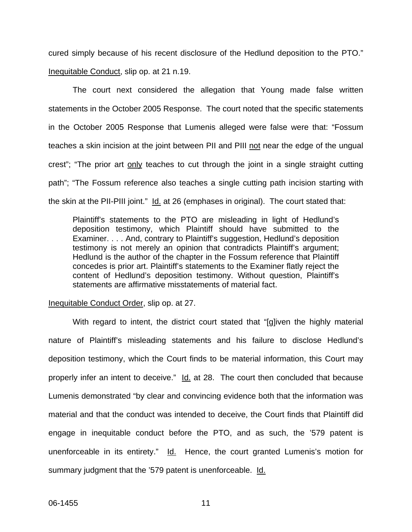cured simply because of his recent disclosure of the Hedlund deposition to the PTO." Inequitable Conduct, slip op. at 21 n.19.

The court next considered the allegation that Young made false written statements in the October 2005 Response. The court noted that the specific statements in the October 2005 Response that Lumenis alleged were false were that: "Fossum teaches a skin incision at the joint between PII and PIII not near the edge of the ungual crest"; "The prior art only teaches to cut through the joint in a single straight cutting path"; "The Fossum reference also teaches a single cutting path incision starting with the skin at the PII-PIII joint." Id. at 26 (emphases in original). The court stated that:

Plaintiff's statements to the PTO are misleading in light of Hedlund's deposition testimony, which Plaintiff should have submitted to the Examiner. . . . And, contrary to Plaintiff's suggestion, Hedlund's deposition testimony is not merely an opinion that contradicts Plaintiff's argument; Hedlund is the author of the chapter in the Fossum reference that Plaintiff concedes is prior art. Plaintiff's statements to the Examiner flatly reject the content of Hedlund's deposition testimony. Without question, Plaintiff's statements are affirmative misstatements of material fact.

#### Inequitable Conduct Order, slip op. at 27.

With regard to intent, the district court stated that "[g]iven the highly material nature of Plaintiff's misleading statements and his failure to disclose Hedlund's deposition testimony, which the Court finds to be material information, this Court may properly infer an intent to deceive." Id. at 28. The court then concluded that because Lumenis demonstrated "by clear and convincing evidence both that the information was material and that the conduct was intended to deceive, the Court finds that Plaintiff did engage in inequitable conduct before the PTO, and as such, the '579 patent is unenforceable in its entirety." Id. Hence, the court granted Lumenis's motion for summary judgment that the '579 patent is unenforceable. Id.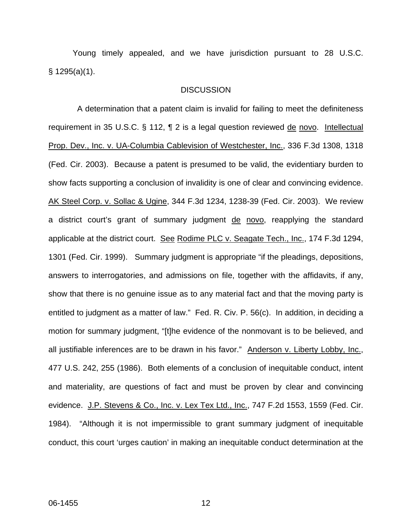Young timely appealed, and we have jurisdiction pursuant to 28 U.S.C. § 1295(a)(1).

#### **DISCUSSION**

 A determination that a patent claim is invalid for failing to meet the definiteness requirement in 35 U.S.C. § 112, ¶ 2 is a legal question reviewed de novo. Intellectual Prop. Dev., Inc. v. UA-Columbia Cablevision of Westchester, Inc., 336 F.3d 1308, 1318 (Fed. Cir. 2003). Because a patent is presumed to be valid, the evidentiary burden to show facts supporting a conclusion of invalidity is one of clear and convincing evidence. AK Steel Corp. v. Sollac & Ugine, 344 F.3d 1234, 1238-39 (Fed. Cir. 2003). We review a district court's grant of summary judgment de novo, reapplying the standard applicable at the district court. See Rodime PLC v. Seagate Tech., Inc., 174 F.3d 1294, 1301 (Fed. Cir. 1999). Summary judgment is appropriate "if the pleadings, depositions, answers to interrogatories, and admissions on file, together with the affidavits, if any, show that there is no genuine issue as to any material fact and that the moving party is entitled to judgment as a matter of law." Fed. R. Civ. P. 56(c). In addition, in deciding a motion for summary judgment, "[t]he evidence of the nonmovant is to be believed, and all justifiable inferences are to be drawn in his favor." Anderson v. Liberty Lobby, Inc., 477 U.S. 242, 255 (1986). Both elements of a conclusion of inequitable conduct, intent and materiality, are questions of fact and must be proven by clear and convincing evidence. J.P. Stevens & Co., Inc. v. Lex Tex Ltd., Inc., 747 F.2d 1553, 1559 (Fed. Cir. 1984). "Although it is not impermissible to grant summary judgment of inequitable conduct, this court 'urges caution' in making an inequitable conduct determination at the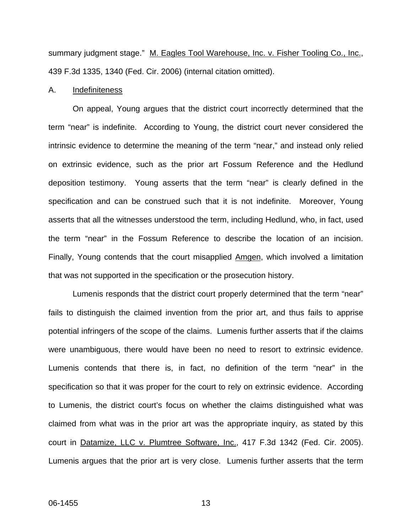summary judgment stage." M. Eagles Tool Warehouse, Inc. v. Fisher Tooling Co., Inc., 439 F.3d 1335, 1340 (Fed. Cir. 2006) (internal citation omitted).

#### A. Indefiniteness

 On appeal, Young argues that the district court incorrectly determined that the term "near" is indefinite. According to Young, the district court never considered the intrinsic evidence to determine the meaning of the term "near," and instead only relied on extrinsic evidence, such as the prior art Fossum Reference and the Hedlund deposition testimony. Young asserts that the term "near" is clearly defined in the specification and can be construed such that it is not indefinite. Moreover, Young asserts that all the witnesses understood the term, including Hedlund, who, in fact, used the term "near" in the Fossum Reference to describe the location of an incision. Finally, Young contends that the court misapplied Amgen, which involved a limitation that was not supported in the specification or the prosecution history.

 Lumenis responds that the district court properly determined that the term "near" fails to distinguish the claimed invention from the prior art, and thus fails to apprise potential infringers of the scope of the claims. Lumenis further asserts that if the claims were unambiguous, there would have been no need to resort to extrinsic evidence. Lumenis contends that there is, in fact, no definition of the term "near" in the specification so that it was proper for the court to rely on extrinsic evidence. According to Lumenis, the district court's focus on whether the claims distinguished what was claimed from what was in the prior art was the appropriate inquiry, as stated by this court in Datamize, LLC v. Plumtree Software, Inc., 417 F.3d 1342 (Fed. Cir. 2005). Lumenis argues that the prior art is very close. Lumenis further asserts that the term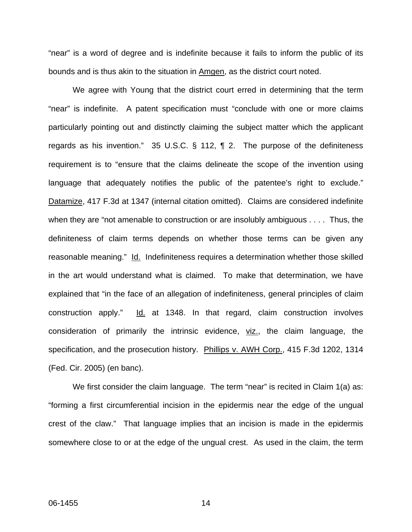"near" is a word of degree and is indefinite because it fails to inform the public of its bounds and is thus akin to the situation in Amgen, as the district court noted.

We agree with Young that the district court erred in determining that the term "near" is indefinite. A patent specification must "conclude with one or more claims particularly pointing out and distinctly claiming the subject matter which the applicant regards as his invention." 35 U.S.C. § 112, ¶ 2. The purpose of the definiteness requirement is to "ensure that the claims delineate the scope of the invention using language that adequately notifies the public of the patentee's right to exclude." Datamize, 417 F.3d at 1347 (internal citation omitted). Claims are considered indefinite when they are "not amenable to construction or are insolubly ambiguous . . . . Thus, the definiteness of claim terms depends on whether those terms can be given any reasonable meaning." Id. Indefiniteness requires a determination whether those skilled in the art would understand what is claimed. To make that determination, we have explained that "in the face of an allegation of indefiniteness, general principles of claim construction apply."  $\underline{Id}$  at 1348. In that regard, claim construction involves consideration of primarily the intrinsic evidence, viz., the claim language, the specification, and the prosecution history. Phillips v. AWH Corp., 415 F.3d 1202, 1314 (Fed. Cir. 2005) (en banc).

We first consider the claim language. The term "near" is recited in Claim 1(a) as: "forming a first circumferential incision in the epidermis near the edge of the ungual crest of the claw." That language implies that an incision is made in the epidermis somewhere close to or at the edge of the ungual crest. As used in the claim, the term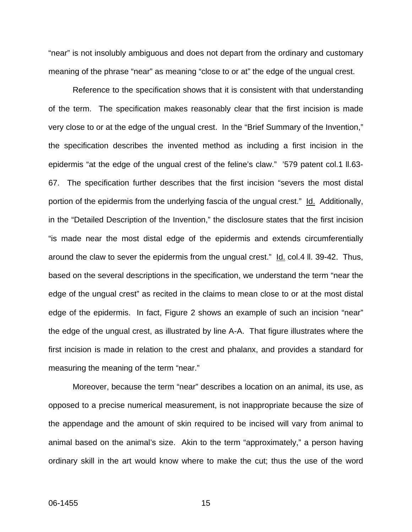"near" is not insolubly ambiguous and does not depart from the ordinary and customary meaning of the phrase "near" as meaning "close to or at" the edge of the ungual crest.

Reference to the specification shows that it is consistent with that understanding of the term. The specification makes reasonably clear that the first incision is made very close to or at the edge of the ungual crest. In the "Brief Summary of the Invention," the specification describes the invented method as including a first incision in the epidermis "at the edge of the ungual crest of the feline's claw." '579 patent col.1 ll.63- 67. The specification further describes that the first incision "severs the most distal portion of the epidermis from the underlying fascia of the ungual crest." Id. Additionally, in the "Detailed Description of the Invention," the disclosure states that the first incision "is made near the most distal edge of the epidermis and extends circumferentially around the claw to sever the epidermis from the ungual crest." Id. col.4 ll. 39-42. Thus, based on the several descriptions in the specification, we understand the term "near the edge of the ungual crest" as recited in the claims to mean close to or at the most distal edge of the epidermis. In fact, Figure 2 shows an example of such an incision "near" the edge of the ungual crest, as illustrated by line A-A. That figure illustrates where the first incision is made in relation to the crest and phalanx, and provides a standard for measuring the meaning of the term "near."

Moreover, because the term "near" describes a location on an animal, its use, as opposed to a precise numerical measurement, is not inappropriate because the size of the appendage and the amount of skin required to be incised will vary from animal to animal based on the animal's size. Akin to the term "approximately," a person having ordinary skill in the art would know where to make the cut; thus the use of the word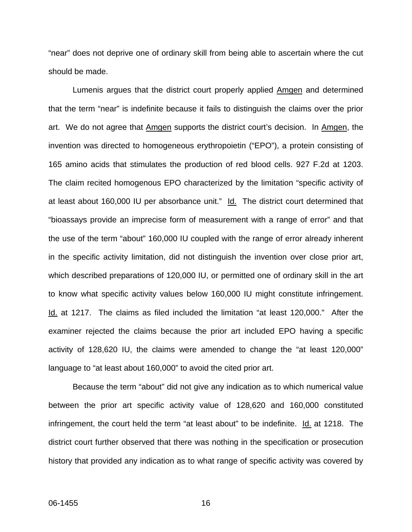"near" does not deprive one of ordinary skill from being able to ascertain where the cut should be made.

Lumenis argues that the district court properly applied Amgen and determined that the term "near" is indefinite because it fails to distinguish the claims over the prior art. We do not agree that Amgen supports the district court's decision. In Amgen, the invention was directed to homogeneous erythropoietin ("EPO"), a protein consisting of 165 amino acids that stimulates the production of red blood cells. 927 F.2d at 1203. The claim recited homogenous EPO characterized by the limitation "specific activity of at least about 160,000 IU per absorbance unit." Id. The district court determined that "bioassays provide an imprecise form of measurement with a range of error" and that the use of the term "about" 160,000 IU coupled with the range of error already inherent in the specific activity limitation, did not distinguish the invention over close prior art, which described preparations of 120,000 IU, or permitted one of ordinary skill in the art to know what specific activity values below 160,000 IU might constitute infringement. Id. at 1217. The claims as filed included the limitation "at least 120,000." After the examiner rejected the claims because the prior art included EPO having a specific activity of 128,620 IU, the claims were amended to change the "at least 120,000" language to "at least about 160,000" to avoid the cited prior art.

Because the term "about" did not give any indication as to which numerical value between the prior art specific activity value of 128,620 and 160,000 constituted infringement, the court held the term "at least about" to be indefinite. Id. at 1218. The district court further observed that there was nothing in the specification or prosecution history that provided any indication as to what range of specific activity was covered by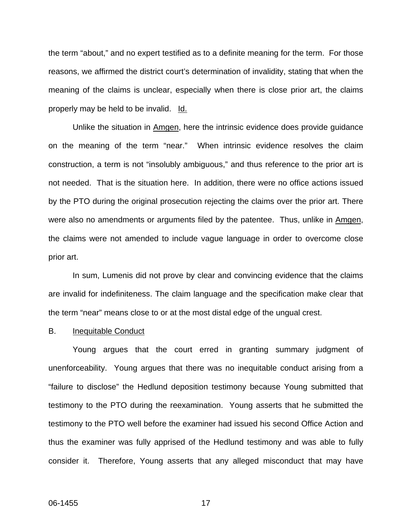the term "about," and no expert testified as to a definite meaning for the term. For those reasons, we affirmed the district court's determination of invalidity, stating that when the meaning of the claims is unclear, especially when there is close prior art, the claims properly may be held to be invalid. Id.

 Unlike the situation in Amgen, here the intrinsic evidence does provide guidance on the meaning of the term "near." When intrinsic evidence resolves the claim construction, a term is not "insolubly ambiguous," and thus reference to the prior art is not needed. That is the situation here. In addition, there were no office actions issued by the PTO during the original prosecution rejecting the claims over the prior art. There were also no amendments or arguments filed by the patentee. Thus, unlike in Amgen, the claims were not amended to include vague language in order to overcome close prior art.

 In sum, Lumenis did not prove by clear and convincing evidence that the claims are invalid for indefiniteness. The claim language and the specification make clear that the term "near" means close to or at the most distal edge of the ungual crest.

#### B. Inequitable Conduct

 Young argues that the court erred in granting summary judgment of unenforceability. Young argues that there was no inequitable conduct arising from a "failure to disclose" the Hedlund deposition testimony because Young submitted that testimony to the PTO during the reexamination. Young asserts that he submitted the testimony to the PTO well before the examiner had issued his second Office Action and thus the examiner was fully apprised of the Hedlund testimony and was able to fully consider it. Therefore, Young asserts that any alleged misconduct that may have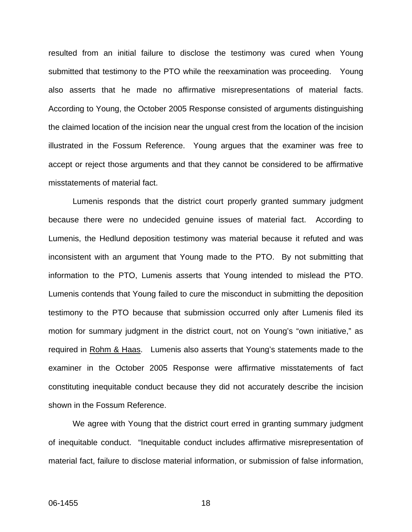resulted from an initial failure to disclose the testimony was cured when Young submitted that testimony to the PTO while the reexamination was proceeding. Young also asserts that he made no affirmative misrepresentations of material facts. According to Young, the October 2005 Response consisted of arguments distinguishing the claimed location of the incision near the ungual crest from the location of the incision illustrated in the Fossum Reference. Young argues that the examiner was free to accept or reject those arguments and that they cannot be considered to be affirmative misstatements of material fact.

 Lumenis responds that the district court properly granted summary judgment because there were no undecided genuine issues of material fact. According to Lumenis, the Hedlund deposition testimony was material because it refuted and was inconsistent with an argument that Young made to the PTO. By not submitting that information to the PTO, Lumenis asserts that Young intended to mislead the PTO. Lumenis contends that Young failed to cure the misconduct in submitting the deposition testimony to the PTO because that submission occurred only after Lumenis filed its motion for summary judgment in the district court, not on Young's "own initiative," as required in Rohm & Haas. Lumenis also asserts that Young's statements made to the examiner in the October 2005 Response were affirmative misstatements of fact constituting inequitable conduct because they did not accurately describe the incision shown in the Fossum Reference.

 We agree with Young that the district court erred in granting summary judgment of inequitable conduct. "Inequitable conduct includes affirmative misrepresentation of material fact, failure to disclose material information, or submission of false information,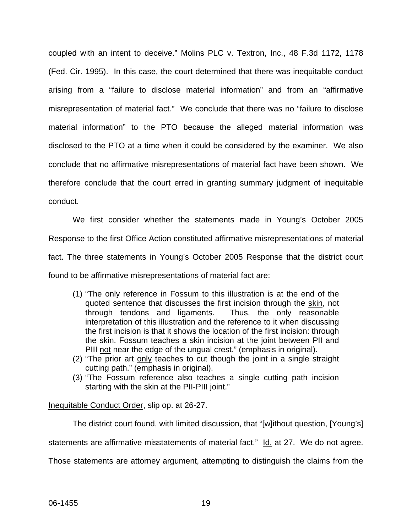coupled with an intent to deceive." Molins PLC v. Textron, Inc., 48 F.3d 1172, 1178 (Fed. Cir. 1995). In this case, the court determined that there was inequitable conduct arising from a "failure to disclose material information" and from an "affirmative misrepresentation of material fact." We conclude that there was no "failure to disclose material information" to the PTO because the alleged material information was disclosed to the PTO at a time when it could be considered by the examiner. We also conclude that no affirmative misrepresentations of material fact have been shown. We therefore conclude that the court erred in granting summary judgment of inequitable conduct.

 We first consider whether the statements made in Young's October 2005 Response to the first Office Action constituted affirmative misrepresentations of material fact. The three statements in Young's October 2005 Response that the district court found to be affirmative misrepresentations of material fact are:

- (1) "The only reference in Fossum to this illustration is at the end of the quoted sentence that discusses the first incision through the skin, not through tendons and ligaments. Thus, the only reasonable interpretation of this illustration and the reference to it when discussing the first incision is that it shows the location of the first incision: through the skin. Fossum teaches a skin incision at the joint between PII and PIII not near the edge of the ungual crest." (emphasis in original).
- (2) "The prior art only teaches to cut though the joint in a single straight cutting path." (emphasis in original).
- (3) "The Fossum reference also teaches a single cutting path incision starting with the skin at the PII-PIII joint."

Inequitable Conduct Order, slip op. at 26-27.

The district court found, with limited discussion, that "[w]ithout question, [Young's] statements are affirmative misstatements of material fact." Id. at 27. We do not agree. Those statements are attorney argument, attempting to distinguish the claims from the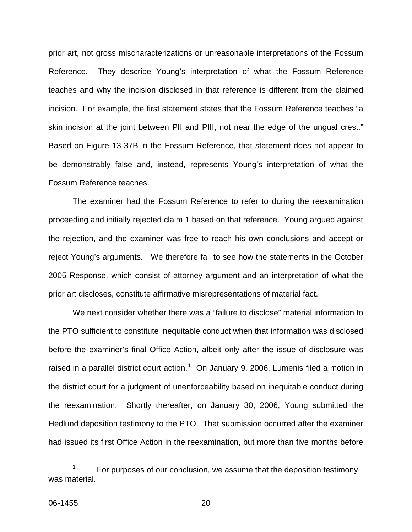prior art, not gross mischaracterizations or unreasonable interpretations of the Fossum Reference. They describe Young's interpretation of what the Fossum Reference teaches and why the incision disclosed in that reference is different from the claimed incision. For example, the first statement states that the Fossum Reference teaches "a skin incision at the joint between PII and PIII, not near the edge of the ungual crest." Based on Figure 13-37B in the Fossum Reference, that statement does not appear to be demonstrably false and, instead, represents Young's interpretation of what the Fossum Reference teaches.

The examiner had the Fossum Reference to refer to during the reexamination proceeding and initially rejected claim 1 based on that reference. Young argued against the rejection, and the examiner was free to reach his own conclusions and accept or reject Young's arguments. We therefore fail to see how the statements in the October 2005 Response, which consist of attorney argument and an interpretation of what the prior art discloses, constitute affirmative misrepresentations of material fact.

We next consider whether there was a "failure to disclose" material information to the PTO sufficient to constitute inequitable conduct when that information was disclosed before the examiner's final Office Action, albeit only after the issue of disclosure was raised in a parallel district court action.<sup>[1](#page-20-0)</sup> On January 9, 2006, Lumenis filed a motion in the district court for a judgment of unenforceability based on inequitable conduct during the reexamination. Shortly thereafter, on January 30, 2006, Young submitted the Hedlund deposition testimony to the PTO. That submission occurred after the examiner had issued its first Office Action in the reexamination, but more than five months before

<span id="page-20-0"></span> <sup>1</sup> For purposes of our conclusion, we assume that the deposition testimony was material.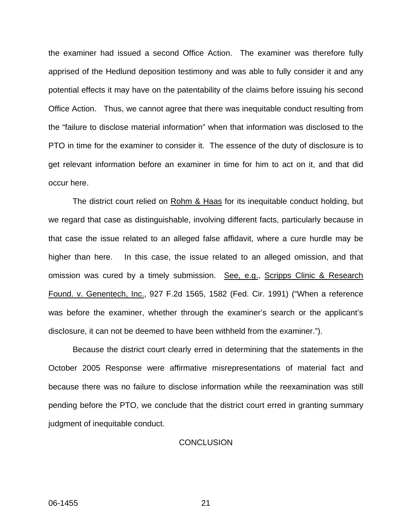the examiner had issued a second Office Action. The examiner was therefore fully apprised of the Hedlund deposition testimony and was able to fully consider it and any potential effects it may have on the patentability of the claims before issuing his second Office Action. Thus, we cannot agree that there was inequitable conduct resulting from the "failure to disclose material information" when that information was disclosed to the PTO in time for the examiner to consider it. The essence of the duty of disclosure is to get relevant information before an examiner in time for him to act on it, and that did occur here.

The district court relied on Rohm & Haas for its inequitable conduct holding, but we regard that case as distinguishable, involving different facts, particularly because in that case the issue related to an alleged false affidavit, where a cure hurdle may be higher than here. In this case, the issue related to an alleged omission, and that omission was cured by a timely submission. See, e.g., Scripps Clinic & Research Found. v. Genentech, Inc., 927 F.2d 1565, 1582 (Fed. Cir. 1991) ("When a reference was before the examiner, whether through the examiner's search or the applicant's disclosure, it can not be deemed to have been withheld from the examiner.").

Because the district court clearly erred in determining that the statements in the October 2005 Response were affirmative misrepresentations of material fact and because there was no failure to disclose information while the reexamination was still pending before the PTO, we conclude that the district court erred in granting summary judgment of inequitable conduct.

#### **CONCLUSION**